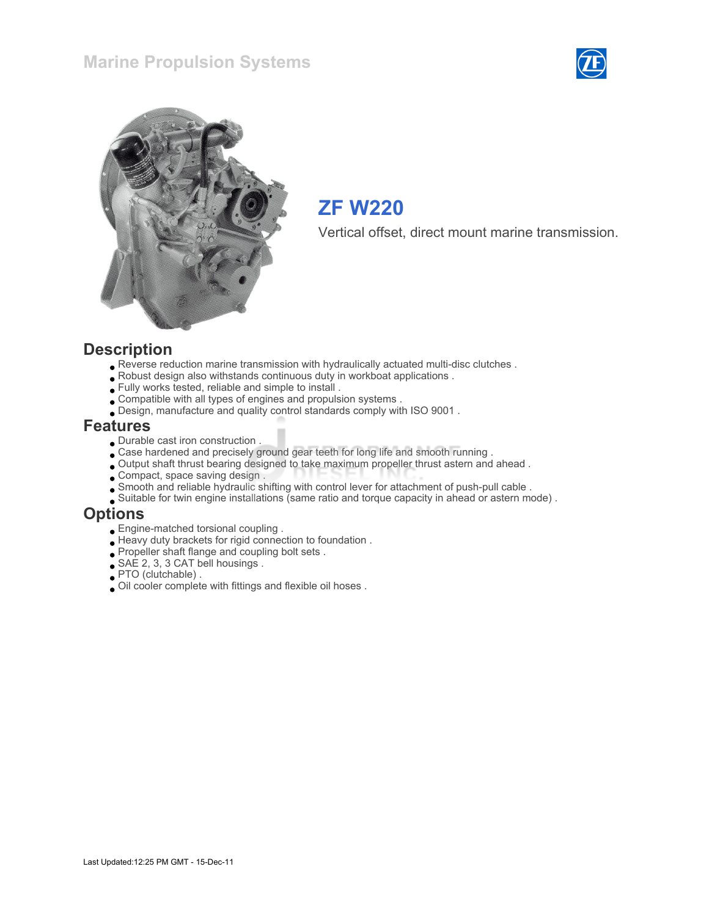



## ZF W220

Vertical offset, direct mount marine transmission.

#### **Description**

- Reverse reduction marine transmission with hydraulically actuated multi-disc clutches .
- Robust design also withstands continuous duty in workboat applications .
- Fully works tested, reliable and simple to install .
- Compatible with all types of engines and propulsion systems .
- Design, manufacture and quality control standards comply with ISO 9001 .

#### Features

- Durable cast iron construction .
- Case hardened and precisely ground gear teeth for long life and smooth running .
- Output shaft thrust bearing designed to take maximum propeller thrust astern and ahead .
- Compact, space saving design .
- Smooth and reliable hydraulic shifting with control lever for attachment of push-pull cable .
- Suitable for twin engine installations (same ratio and torque capacity in ahead or astern mode) .

#### **Options**

- Engine-matched torsional coupling .
- Heavy duty brackets for rigid connection to foundation .
- Propeller shaft flange and coupling bolt sets .
- SAE 2, 3, 3 CAT bell housings .
- PTO (clutchable) .
- Oil cooler complete with fittings and flexible oil hoses .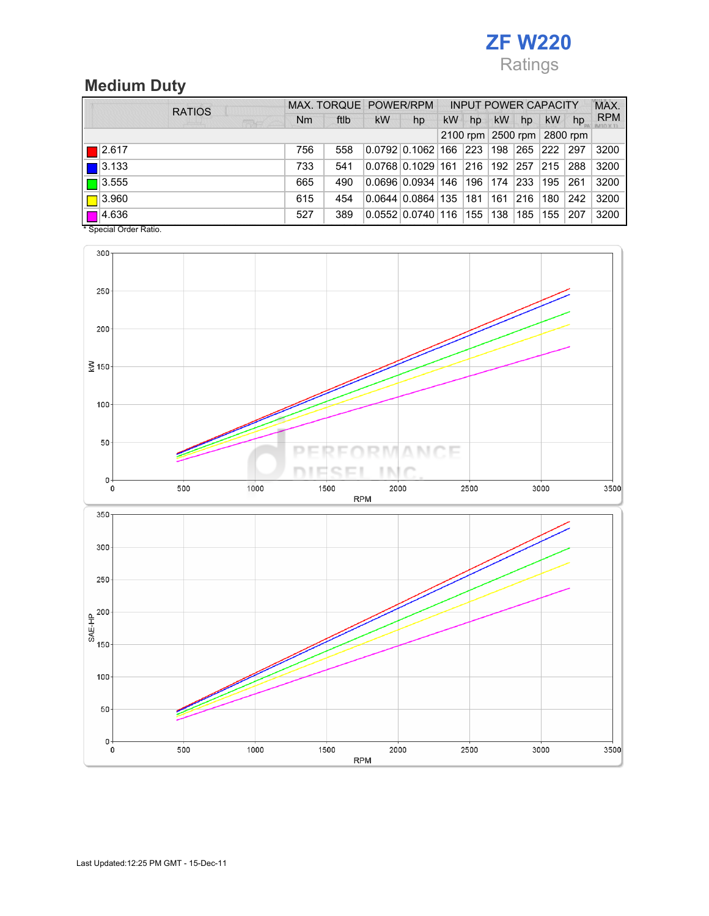# ZF W220 Ratings

### Medium Duty

| <b>RATIOS</b>         |                |      | MAX. TORQUE POWER/RPM |                                            | <b>INPUT POWER CAPACITY</b> |     |           |                            |               |                   | MAX.       |
|-----------------------|----------------|------|-----------------------|--------------------------------------------|-----------------------------|-----|-----------|----------------------------|---------------|-------------------|------------|
| <b>FRANCE</b>         | N <sub>m</sub> | ftlb | kW                    | hp                                         | <b>kW</b>                   | hp  | <b>kW</b> | hp                         | <b>kW</b>     | hp                | <b>RPM</b> |
|                       |                |      |                       |                                            |                             |     |           | 2100 rpm 2500 rpm 2800 rpm |               |                   |            |
| $\blacksquare$ 2.617  | 756            | 558  |                       | 0.0792 0.1062 166  223  198  265  222  297 |                             |     |           |                            |               |                   | 3200       |
| $\vert$ 3.133         | 733            | 541  |                       | 0.0768 0.1029 161  216  192  257           |                             |     |           |                            | $ 215\rangle$ | 288               | 3200       |
| $\sqrt{2}$ 3.555      | 665            | 490  |                       | 0.0696 0.0934 146  196  174  233  195      |                             |     |           |                            |               | 261               | 3200       |
| $\Box$ 3.960          | 615            | 454  |                       | 0.0644 0.0864 135                          |                             | 181 |           | 161  216  180              |               | $\vert 242 \vert$ | 3200       |
| $\Box$ 4.636          | 527            | 389  |                       | 0.0552 0.0740 116                          |                             |     |           | 155  138  185  155         |               | 207               | 3200       |
| * Concial Order Patio |                |      |                       |                                            |                             |     |           |                            |               |                   |            |

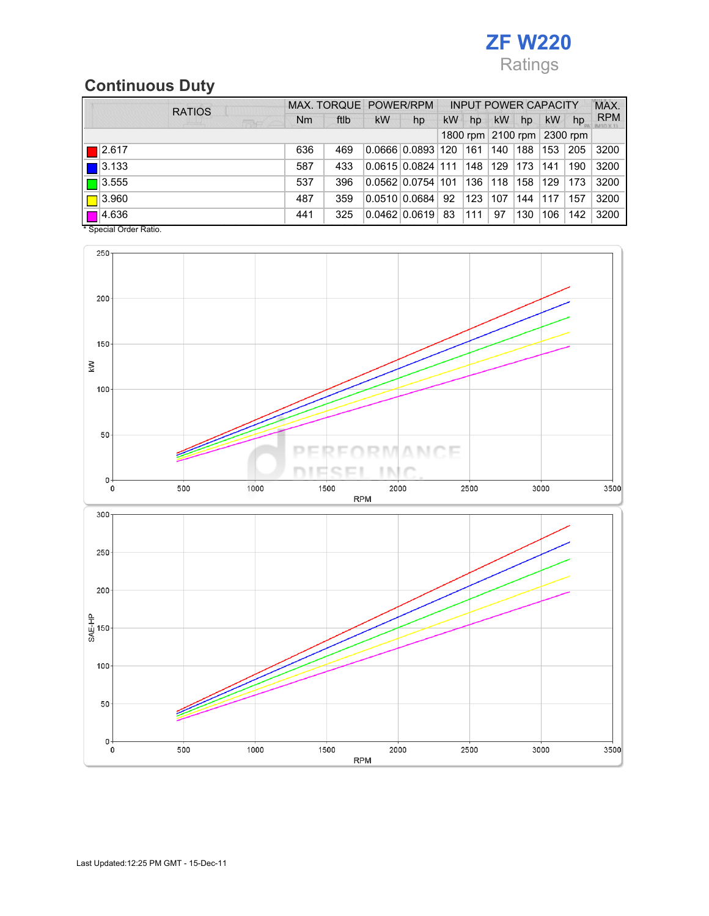

### Continuous Duty

| <b>RATIOS</b>                         |     |      | MAX. TORQUE POWER/RPM |                             | <b>INPUT POWER CAPACITY</b> |               |               |     |     |                            | MAX.       |
|---------------------------------------|-----|------|-----------------------|-----------------------------|-----------------------------|---------------|---------------|-----|-----|----------------------------|------------|
| 带点                                    | Nm  | ftlb | <b>kW</b>             | hp                          | <b>kW</b>                   | hp            | <b>kW</b>     | hp  | kW  | hp                         | <b>RPM</b> |
|                                       |     |      |                       |                             |                             |               |               |     |     | 1800 rpm 2100 rpm 2300 rpm |            |
| $\Box$ 2.617                          | 636 | 469  |                       | 0.066610.08931120           |                             | $ 161\rangle$ | 140           | 188 | 153 | 205                        | 3200       |
| $\boxed{ }$ 3.133                     | 587 | 433  |                       | 0.0615 0.0824 111  148  129 |                             |               |               | 173 | 141 | 190                        | 3200       |
| $\boxed{\Box}$ 3.555                  | 537 | 396  |                       | 0.0562 0.0754 101           |                             | 136           | $ 118\rangle$ | 158 | 129 | 173                        | 3200       |
| $\boxed{\Box}$ 3.960                  | 487 | 359  |                       | 0.0510 0.0684               | 92                          | 123           | 107           | 144 | 117 | 157                        | 3200       |
| $\Box$ 4.636<br>* Concial Order Patio | 441 | 325  |                       | 0.0462   0.0619   83        |                             | 111           | 97            | 130 | 106 | 142                        | 3200       |



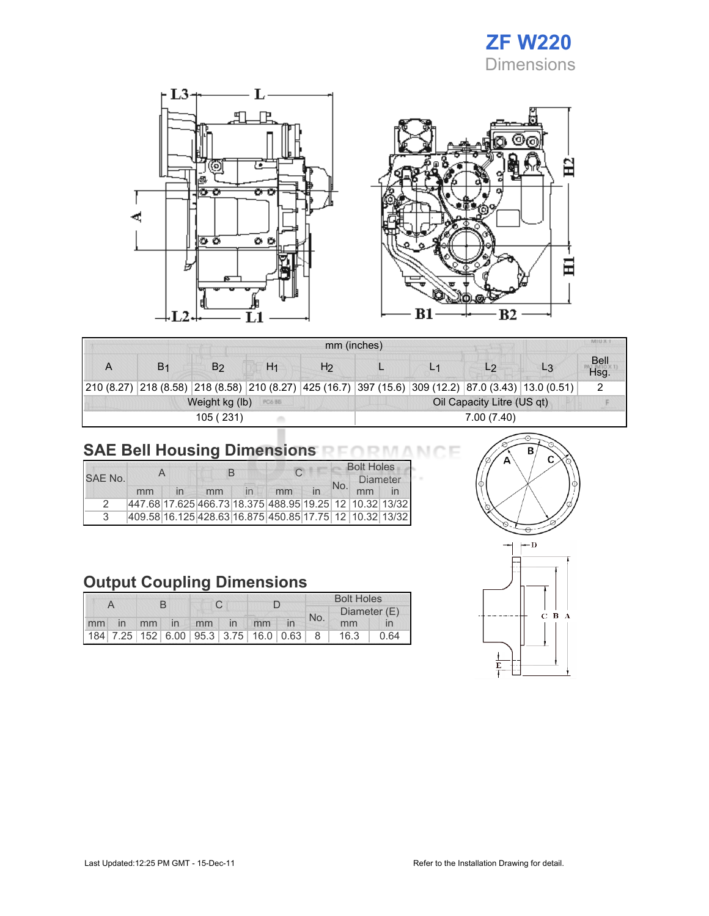



|   |                |                |                |    | mm (inches)                |  |                                                                                                      |  |                     |  |  |
|---|----------------|----------------|----------------|----|----------------------------|--|------------------------------------------------------------------------------------------------------|--|---------------------|--|--|
| A | B <sub>1</sub> | B۵             | H <sub>1</sub> | H2 |                            |  | L2                                                                                                   |  | <b>Bell</b><br>Hsq. |  |  |
|   |                |                |                |    |                            |  | 210 (8.27) 218 (8.58) 218 (8.58) 210 (8.27) 425 (16.7) 397 (15.6) 309 (12.2) 87.0 (3.43) 13.0 (0.51) |  |                     |  |  |
|   |                | Weight kg (lb) | PC6 BB         |    | Oil Capacity Litre (US qt) |  |                                                                                                      |  |                     |  |  |
|   |                | 105 (231)      |                |    | 7.00 (7.40)                |  |                                                                                                      |  |                     |  |  |

# SAE Bell Housing Dimensions RFORMANCE

|         |    | A | В  |              |                                                             |  |     | <b>Bolt Holes</b> |  |
|---------|----|---|----|--------------|-------------------------------------------------------------|--|-----|-------------------|--|
| SAF No. |    |   |    |              |                                                             |  | No. | <b>Diameter</b>   |  |
|         | mm |   | mm | $\mathsf{I}$ | mm                                                          |  |     | mm                |  |
|         |    |   |    |              | 447.68 17.625 466.73 18.375 488.95 19.25 12 10.32 13/32     |  |     |                   |  |
|         |    |   |    |              | 409.58 16.125 428.63 16.875 450.85 17.75  12   10.32  13/32 |  |     |                   |  |

### Output Coupling Dimensions

|  |  |  |                                                           |  |  |  | <b>Bolt Holes</b> |              |      |  |
|--|--|--|-----------------------------------------------------------|--|--|--|-------------------|--------------|------|--|
|  |  |  |                                                           |  |  |  |                   | Diameter (E) |      |  |
|  |  |  | Imm in mm in mm in mm                                     |  |  |  | No.               | mm           |      |  |
|  |  |  | 184   7.25   152   6.00   95.3   3.75   16.0   0.63     8 |  |  |  |                   | 16.3         | 0.64 |  |